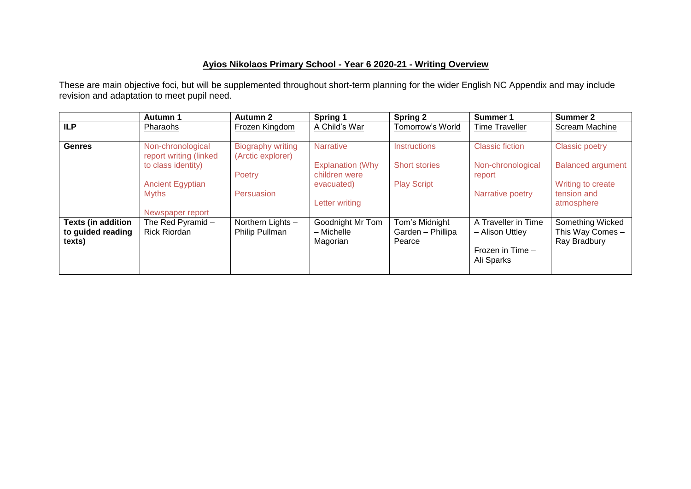## **Ayios Nikolaos Primary School - Year 6 2020-21 - Writing Overview**

These are main objective foci, but will be supplemented throughout short-term planning for the wider English NC Appendix and may include revision and adaptation to meet pupil need.

|                                                          | <b>Autumn 1</b>                             | <b>Autumn 2</b>                               | Spring 1                                   | <b>Spring 2</b>                               | Summer 1                                                                 | Summer 2                                             |
|----------------------------------------------------------|---------------------------------------------|-----------------------------------------------|--------------------------------------------|-----------------------------------------------|--------------------------------------------------------------------------|------------------------------------------------------|
| <b>ILP</b>                                               | Pharaohs                                    | Frozen Kingdom                                | A Child's War                              | Tomorrow's World                              | <b>Time Traveller</b>                                                    | Scream Machine                                       |
| <b>Genres</b>                                            | Non-chronological<br>report writing (linked | <b>Biography writing</b><br>(Arctic explorer) | <b>Narrative</b>                           | Instructions                                  | <b>Classic fiction</b>                                                   | <b>Classic poetry</b>                                |
|                                                          | to class identity)                          | Poetry                                        | <b>Explanation (Why</b><br>children were   | <b>Short stories</b>                          | Non-chronological<br>report                                              | <b>Balanced argument</b>                             |
|                                                          | <b>Ancient Egyptian</b><br><b>Myths</b>     | Persuasion                                    | evacuated)                                 | <b>Play Script</b>                            | Narrative poetry                                                         | Writing to create<br>tension and                     |
|                                                          | Newspaper report                            |                                               | Letter writing                             |                                               |                                                                          | atmosphere                                           |
| <b>Texts (in addition</b><br>to guided reading<br>texts) | The Red Pyramid-<br><b>Rick Riordan</b>     | Northern Lights -<br>Philip Pullman           | Goodnight Mr Tom<br>- Michelle<br>Magorian | Tom's Midnight<br>Garden - Phillipa<br>Pearce | A Traveller in Time<br>- Alison Uttley<br>Frozen in Time -<br>Ali Sparks | Something Wicked<br>This Way Comes -<br>Ray Bradbury |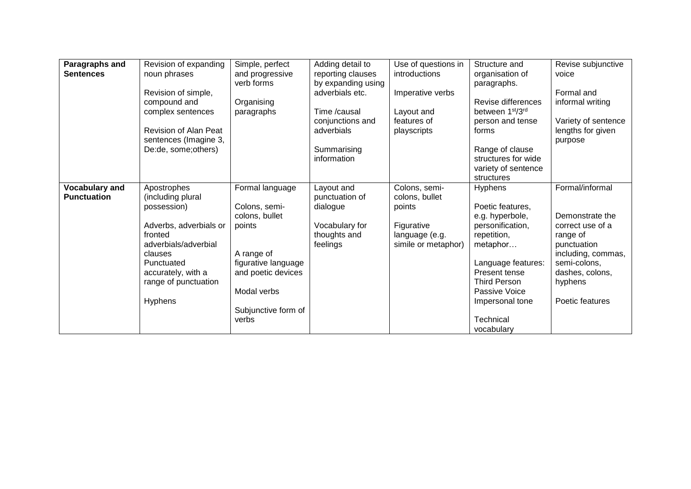| Paragraphs and        | Revision of expanding  | Simple, perfect     | Adding detail to   | Use of questions in | Structure and       | Revise subjunctive  |
|-----------------------|------------------------|---------------------|--------------------|---------------------|---------------------|---------------------|
| <b>Sentences</b>      | noun phrases           | and progressive     | reporting clauses  | introductions       | organisation of     | voice               |
|                       |                        | verb forms          | by expanding using |                     | paragraphs.         |                     |
|                       | Revision of simple,    |                     | adverbials etc.    | Imperative verbs    |                     | Formal and          |
|                       |                        |                     |                    |                     | Revise differences  |                     |
|                       | compound and           | Organising          |                    |                     |                     | informal writing    |
|                       | complex sentences      | paragraphs          | Time /causal       | Layout and          | between 1st/3rd     |                     |
|                       |                        |                     | conjunctions and   | features of         | person and tense    | Variety of sentence |
|                       | Revision of Alan Peat  |                     | adverbials         | playscripts         | forms               | lengths for given   |
|                       | sentences (Imagine 3,  |                     |                    |                     |                     | purpose             |
|                       | De:de, some; others)   |                     | Summarising        |                     | Range of clause     |                     |
|                       |                        |                     | information        |                     | structures for wide |                     |
|                       |                        |                     |                    |                     | variety of sentence |                     |
|                       |                        |                     |                    |                     | structures          |                     |
| <b>Vocabulary and</b> | Apostrophes            | Formal language     | Layout and         | Colons, semi-       | Hyphens             | Formal/informal     |
| <b>Punctuation</b>    | (including plural      |                     | punctuation of     | colons, bullet      |                     |                     |
|                       | possession)            | Colons, semi-       | dialogue           | points              | Poetic features,    |                     |
|                       |                        | colons, bullet      |                    |                     | e.g. hyperbole,     | Demonstrate the     |
|                       | Adverbs, adverbials or | points              | Vocabulary for     | Figurative          | personification,    | correct use of a    |
|                       | fronted                |                     | thoughts and       | language (e.g.      | repetition,         | range of            |
|                       | adverbials/adverbial   |                     | feelings           | simile or metaphor) | metaphor            | punctuation         |
|                       | clauses                | A range of          |                    |                     |                     | including, commas,  |
|                       | Punctuated             | figurative language |                    |                     | Language features:  | semi-colons,        |
|                       | accurately, with a     | and poetic devices  |                    |                     | Present tense       | dashes, colons,     |
|                       | range of punctuation   |                     |                    |                     | <b>Third Person</b> | hyphens             |
|                       |                        | Modal verbs         |                    |                     | Passive Voice       |                     |
|                       | Hyphens                |                     |                    |                     | Impersonal tone     | Poetic features     |
|                       |                        | Subjunctive form of |                    |                     |                     |                     |
|                       |                        | verbs               |                    |                     | Technical           |                     |
|                       |                        |                     |                    |                     | vocabulary          |                     |
|                       |                        |                     |                    |                     |                     |                     |